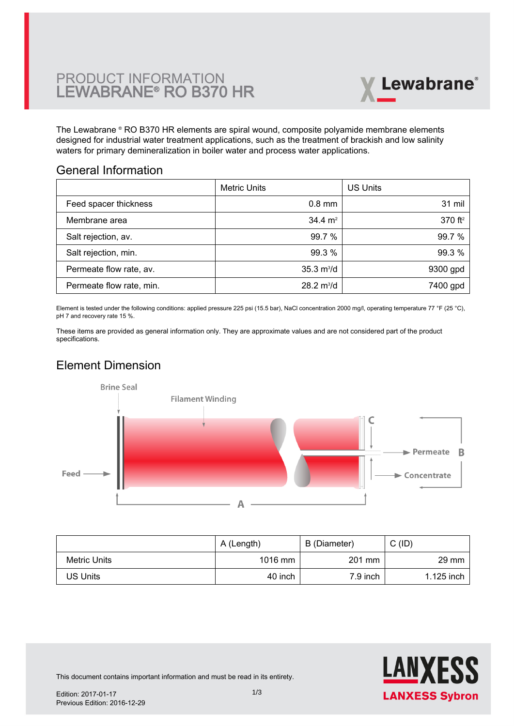

The Lewabrane ® RO B370 HR elements are spiral wound, composite polyamide membrane elements [designed for industrial water treatment applications, such as the treatment of brackish and low salinity](https://www.pureaqua.com/lanxess-lewabrane-b370-hr-membrane/) waters for primary demineralization in boiler water and process water applications.

#### General Information

|                          | <b>Metric Units</b>         | US Units            |
|--------------------------|-----------------------------|---------------------|
| Feed spacer thickness    | $0.8$ mm                    | 31 mil              |
| Membrane area            | $34.4 \text{ m}^2$          | 370 ft <sup>2</sup> |
| Salt rejection, av.      | 99.7 %                      | 99.7%               |
| Salt rejection, min.     | 99.3 %                      | 99.3 %              |
| Permeate flow rate, av.  | $35.3 \text{ m}^3/\text{d}$ | 9300 gpd            |
| Permeate flow rate, min. | $28.2 \text{ m}^3/\text{d}$ | 7400 gpd            |

Element is tested under the following conditions: applied pressure 225 psi (15.5 bar), NaCl concentration 2000 mg/l, operating temperature 77 °F (25 °C), pH 7 and recovery rate 15 %.

These items are provided as general information only. They are approximate values and are not considered part of the product specifications.

## Element Dimension



|              | A (Length) | B (Diameter) | $C$ (ID)        |
|--------------|------------|--------------|-----------------|
| Metric Units | 1016 mm    | 201 mm       | $29 \text{ mm}$ |
| US Units     | 40 inch    | 7.9 inch     | 1.125 inch      |



This document contains important information and must be read in its entirety.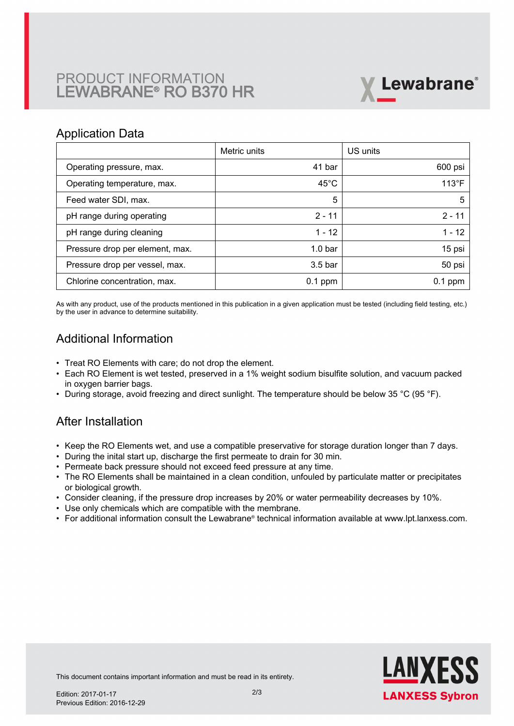# PRODUCT INFORMATION LEWABRANE® RO B370 HR



#### Application Data

|                                 | Metric units       | US units       |
|---------------------------------|--------------------|----------------|
| Operating pressure, max.        | 41 bar             | 600 psi        |
| Operating temperature, max.     | $45^{\circ}$ C     | $113^{\circ}F$ |
| Feed water SDI, max.            | 5                  | 5              |
| pH range during operating       | $2 - 11$           | $2 - 11$       |
| pH range during cleaning        | $1 - 12$           | $1 - 12$       |
| Pressure drop per element, max. | 1.0 <sub>bar</sub> | 15 psi         |
| Pressure drop per vessel, max.  | 3.5 <sub>bar</sub> | 50 psi         |
| Chlorine concentration, max.    | $0.1$ ppm          | $0.1$ ppm      |

As with any product, use of the products mentioned in this publication in a given application must be tested (including field testing, etc.) by the user in advance to determine suitability.

### Additional Information

- Treat RO Elements with care; do not drop the element.
- Each RO Element is wet tested, preserved in a 1% weight sodium bisulfite solution, and vacuum packed in oxygen barrier bags.
- During storage, avoid freezing and direct sunlight. The temperature should be below 35 °C (95 °F).

#### After Installation

- Keep the RO Elements wet, and use a compatible preservative for storage duration longer than 7 days.
- During the inital start up, discharge the first permeate to drain for 30 min.
- Permeate back pressure should not exceed feed pressure at any time.
- The RO Elements shall be maintained in a clean condition, unfouled by particulate matter or precipitates or biological growth.
- Consider cleaning, if the pressure drop increases by 20% or water permeability decreases by 10%.
- Use only chemicals which are compatible with the membrane.
- For additional information consult the Lewabrane® technical information available at www.lpt.lanxess.com.



This document contains important information and must be read in its entirety.